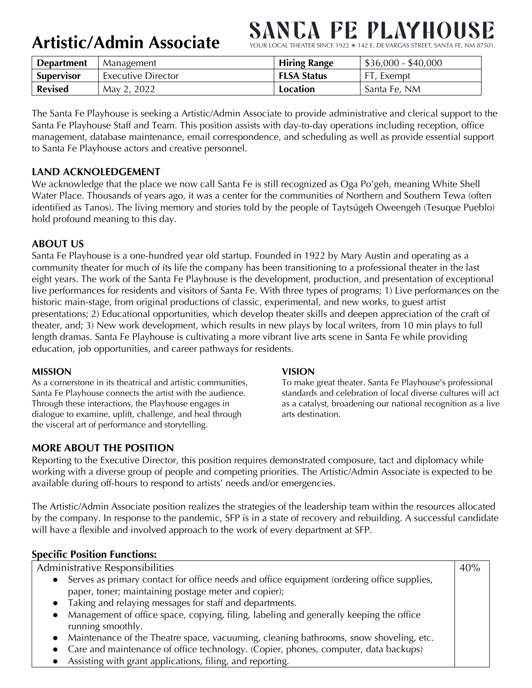**Artistic/Admin Associate**

# **SANCA FE PLAYHOUS**

YOUR LOCAL THEATER SINCE 1922 \* 142 E. DE VARGAS STREET, SANTA FE, NM 87501

| <b>Department</b> | Management         | <b>Hiring Range</b> | $$36,000 - $40,000$ |
|-------------------|--------------------|---------------------|---------------------|
| <b>Supervisor</b> | Executive Director | <b>FLSA Status</b>  | FT, Exempt          |
| <b>Revised</b>    | May 2, 2022        | Location            | Santa Fe, NM        |

The Santa Fe Playhouse is seeking a Artistic/Admin Associate to provide administrative and clerical support to the Santa Fe Playhouse Staff and Team. This position assists with day-to-day operations including reception, office management, database maintenance, email correspondence, and scheduling as well as provide essential support to Santa Fe Playhouse actors and creative personnel.

# **LAND ACKNOLEDGEMENT**

We acknowledge that the place we now call Santa Fe is still recognized as Oga Po'geh, meaning White Shell Water Place. Thousands of years ago, it was a center for the communities of Northern and Southern Tewa (often identified as Tanos). The living memory and stories told by the people of Taytsúgeh Oweengeh (Tesuque Pueblo) hold profound meaning to this day.

# **ABOUT US**

Santa Fe Playhouse is a one-hundred year old startup. Founded in 1922 by Mary Austin and operating as a community theater for much of its life the company has been transitioning to a professional theater in the last eight years. The work of the Santa Fe Playhouse is the development, production, and presentation of exceptional live performances for residents and visitors of Santa Fe. With three types of programs; 1) Live performances on the historic main-stage, from original productions of classic, experimental, and new works, to guest artist presentations; 2) Educational opportunities, which develop theater skills and deepen appreciation of the craft of theater, and; 3) New work development, which results in new plays by local writers, from 10 min plays to full length dramas. Santa Fe Playhouse is cultivating a more vibrant live arts scene in Santa Fe while providing education, job opportunities, and career pathways for residents.

#### **MISSION**

As a cornerstone in its theatrical and artistic communities, Santa Fe Playhouse connects the artist with the audience. Through these interactions, the Playhouse engages in dialogue to examine, uplift, challenge, and heal through the visceral art of performance and storytelling.

#### **VISION**

To make great theater. Santa Fe Playhouse's professional standards and celebration of local diverse cultures will act as a catalyst, broadening our national recognition as a live arts destination.

40%

# **MORE ABOUT THE POSITION**

Reporting to the Executive Director, this position requires demonstrated composure, tact and diplomacy while working with a diverse group of people and competing priorities. The Artistic/Admin Associate is expected to be available during off-hours to respond to artists' needs and/or emergencies.

The Artistic/Admin Associate position realizes the strategies of the leadership team within the resources allocated by the company. In response to the pandemic, SFP is in a state of recovery and rebuilding. A successful candidate will have a flexible and involved approach to the work of every department at SFP.

# **Specific Position Functions:**

Administrative Responsibilities

- Serves as primary contact for office needs and office equipment (ordering office supplies, paper, toner; maintaining postage meter and copier);
- Taking and relaying messages for staff and departments.
- Management of office space, copying, filing, labeling and generally keeping the office running smoothly.
- Maintenance of the Theatre space, vacuuming, cleaning bathrooms, snow shoveling, etc.
- Care and maintenance of office technology. (Copier, phones, computer, data backups)
- Assisting with grant applications, filing, and reporting.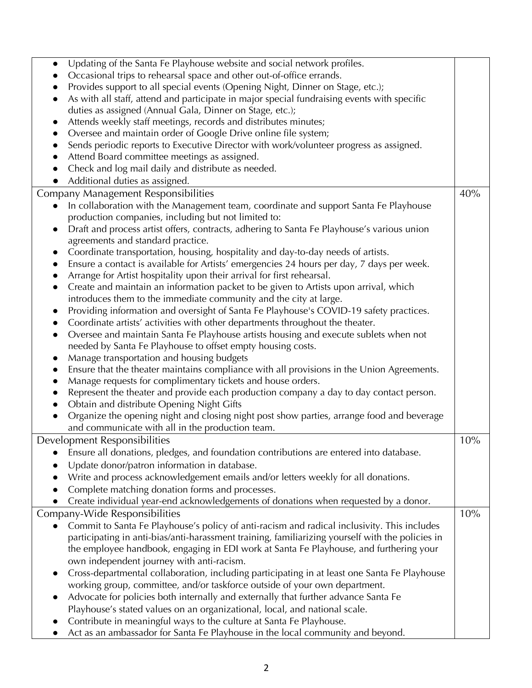| Updating of the Santa Fe Playhouse website and social network profiles.<br>$\bullet$                                                              |  |  |
|---------------------------------------------------------------------------------------------------------------------------------------------------|--|--|
| Occasional trips to rehearsal space and other out-of-office errands.                                                                              |  |  |
| Provides support to all special events (Opening Night, Dinner on Stage, etc.);<br>$\bullet$                                                       |  |  |
| As with all staff, attend and participate in major special fundraising events with specific<br>$\bullet$                                          |  |  |
| duties as assigned (Annual Gala, Dinner on Stage, etc.);                                                                                          |  |  |
| Attends weekly staff meetings, records and distributes minutes;<br>$\bullet$                                                                      |  |  |
| Oversee and maintain order of Google Drive online file system;<br>$\bullet$                                                                       |  |  |
| Sends periodic reports to Executive Director with work/volunteer progress as assigned.                                                            |  |  |
| Attend Board committee meetings as assigned.                                                                                                      |  |  |
| Check and log mail daily and distribute as needed.                                                                                                |  |  |
| Additional duties as assigned.<br>$\bullet$                                                                                                       |  |  |
| Company Management Responsibilities<br>40%                                                                                                        |  |  |
| In collaboration with the Management team, coordinate and support Santa Fe Playhouse<br>$\bullet$                                                 |  |  |
| production companies, including but not limited to:                                                                                               |  |  |
| Draft and process artist offers, contracts, adhering to Santa Fe Playhouse's various union<br>$\bullet$                                           |  |  |
| agreements and standard practice.                                                                                                                 |  |  |
| Coordinate transportation, housing, hospitality and day-to-day needs of artists.<br>$\bullet$                                                     |  |  |
| Ensure a contact is available for Artists' emergencies 24 hours per day, 7 days per week.<br>$\bullet$                                            |  |  |
| Arrange for Artist hospitality upon their arrival for first rehearsal.<br>$\bullet$                                                               |  |  |
| Create and maintain an information packet to be given to Artists upon arrival, which<br>$\bullet$                                                 |  |  |
| introduces them to the immediate community and the city at large.                                                                                 |  |  |
| Providing information and oversight of Santa Fe Playhouse's COVID-19 safety practices.<br>$\bullet$                                               |  |  |
| Coordinate artists' activities with other departments throughout the theater.<br>$\bullet$                                                        |  |  |
| Oversee and maintain Santa Fe Playhouse artists housing and execute sublets when not<br>$\bullet$                                                 |  |  |
| needed by Santa Fe Playhouse to offset empty housing costs.                                                                                       |  |  |
| Manage transportation and housing budgets<br>$\bullet$                                                                                            |  |  |
| Ensure that the theater maintains compliance with all provisions in the Union Agreements.<br>$\bullet$                                            |  |  |
| Manage requests for complimentary tickets and house orders.<br>$\bullet$                                                                          |  |  |
| Represent the theater and provide each production company a day to day contact person.<br>$\bullet$                                               |  |  |
| Obtain and distribute Opening Night Gifts<br>$\bullet$                                                                                            |  |  |
| Organize the opening night and closing night post show parties, arrange food and beverage<br>$\bullet$                                            |  |  |
| and communicate with all in the production team.                                                                                                  |  |  |
| Development Responsibilities<br>10%                                                                                                               |  |  |
| Ensure all donations, pledges, and foundation contributions are entered into database.                                                            |  |  |
| Update donor/patron information in database.                                                                                                      |  |  |
| Write and process acknowledgement emails and/or letters weekly for all donations.                                                                 |  |  |
| Complete matching donation forms and processes.                                                                                                   |  |  |
| Create individual year-end acknowledgements of donations when requested by a donor.                                                               |  |  |
| 10%                                                                                                                                               |  |  |
|                                                                                                                                                   |  |  |
| Company-Wide Responsibilities                                                                                                                     |  |  |
| Commit to Santa Fe Playhouse's policy of anti-racism and radical inclusivity. This includes                                                       |  |  |
| participating in anti-bias/anti-harassment training, familiarizing yourself with the policies in                                                  |  |  |
| the employee handbook, engaging in EDI work at Santa Fe Playhouse, and furthering your                                                            |  |  |
| own independent journey with anti-racism.<br>$\bullet$                                                                                            |  |  |
| Cross-departmental collaboration, including participating in at least one Santa Fe Playhouse                                                      |  |  |
| working group, committee, and/or taskforce outside of your own department.<br>$\bullet$                                                           |  |  |
| Advocate for policies both internally and externally that further advance Santa Fe                                                                |  |  |
| Playhouse's stated values on an organizational, local, and national scale.<br>Contribute in meaningful ways to the culture at Santa Fe Playhouse. |  |  |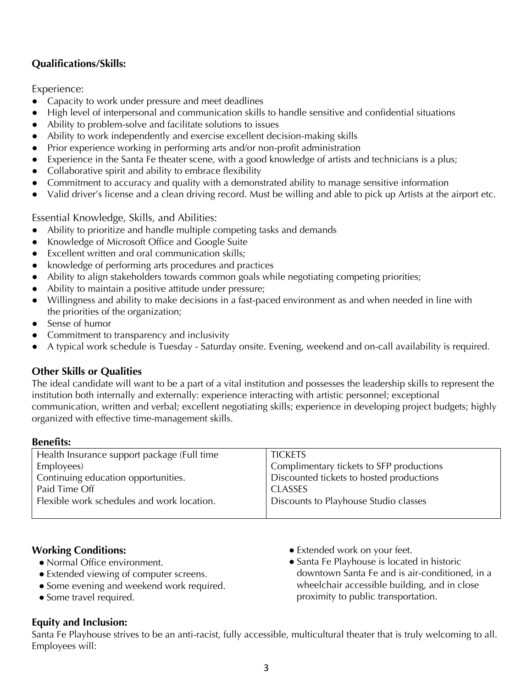# **Qualifications/Skills:**

Experience:

- Capacity to work under pressure and meet deadlines
- High level of interpersonal and communication skills to handle sensitive and confidential situations
- Ability to problem-solve and facilitate solutions to issues
- Ability to work independently and exercise excellent decision-making skills
- Prior experience working in performing arts and/or non-profit administration
- Experience in the Santa Fe theater scene, with a good knowledge of artists and technicians is a plus;
- Collaborative spirit and ability to embrace flexibility
- Commitment to accuracy and quality with a demonstrated ability to manage sensitive information
- Valid driver's license and a clean driving record. Must be willing and able to pick up Artists at the airport etc.

Essential Knowledge, Skills, and Abilities:

- Ability to prioritize and handle multiple competing tasks and demands
- Knowledge of Microsoft Office and Google Suite
- Excellent written and oral communication skills;
- knowledge of performing arts procedures and practices
- Ability to align stakeholders towards common goals while negotiating competing priorities;
- Ability to maintain a positive attitude under pressure;
- Willingness and ability to make decisions in a fast-paced environment as and when needed in line with the priorities of the organization;
- Sense of humor
- Commitment to transparency and inclusivity
- A typical work schedule is Tuesday Saturday onsite. Evening, weekend and on-call availability is required.

# **Other Skills or Qualities**

The ideal candidate will want to be a part of a vital institution and possesses the leadership skills to represent the institution both internally and externally: experience interacting with artistic personnel; exceptional communication, written and verbal; excellent negotiating skills; experience in developing project budgets; highly organized with effective time-management skills.

#### **Benefits:**

| Health Insurance support package (Full time | <b>TICKETS</b>                           |  |
|---------------------------------------------|------------------------------------------|--|
| Employees)                                  | Complimentary tickets to SFP productions |  |
| Continuing education opportunities.         | Discounted tickets to hosted productions |  |
| Paid Time Off                               | <b>CLASSES</b>                           |  |
| Flexible work schedules and work location.  | Discounts to Playhouse Studio classes    |  |
|                                             |                                          |  |

# **Working Conditions:**

- Normal Office environment.
- Extended viewing of computer screens.
- Some evening and weekend work required.
- Some travel required.

#### ● Extended work on your feet.

● Santa Fe Playhouse is located in historic downtown Santa Fe and is air-conditioned, in a wheelchair accessible building, and in close proximity to public transportation.

# **Equity and Inclusion:**

Santa Fe Playhouse strives to be an anti-racist, fully accessible, multicultural theater that is truly welcoming to all. Employees will: